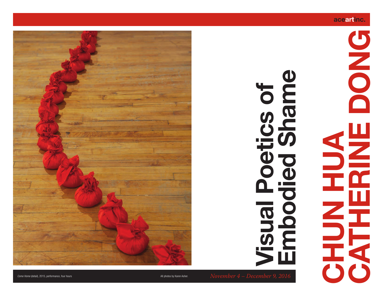#### **aceartinc.**

# **CACHERINE DONG** DONG SHE **CHUN HUA**

## cs of **Embodied Shame Visual Poetics of BUD** oqual<br>Iensi  $\bigcirc$  $\blacksquare$



**Come Home (detail), 2015, performance, four hours All photos by Karen Asher.** All photos by Karen Asher.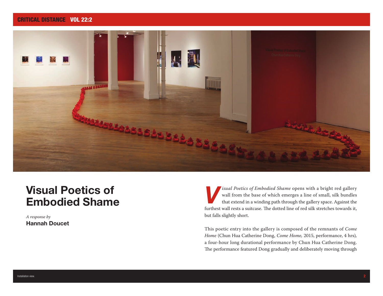#### CRITICAL DISTANCE VOL 22:2



### **Visual Poetics of Embodied Shame**

*A response by* **Hannah Doucet**

*Simual Poetics of Embodied Shame* opens with a bright red gallery wall from the base of which emerges a line of small, silk bundles that extend in a winding path through the gallery space. Against the wall from the base of which emerges a line of small, silk bundles that extend in a winding path through the gallery space. Against the furthest wall rests a suitcase. The dotted line of red silk stretches towards it, but falls slightly short.

This poetic entry into the gallery is composed of the remnants of *Come Home* (Chun Hua Catherine Dong, *Come Home,* 2015, performance, 4 hrs)*,* a four-hour long durational performance by Chun Hua Catherine Dong. The performance featured Dong gradually and deliberately moving through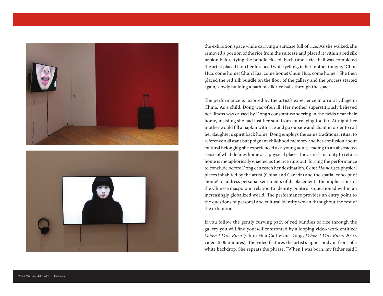

the exhibition space while carrying a suitcase full of rice. As she walked, she removed a portion of the rice from the suitcase and placed it within a red silk napkin before tying the bundle closed. Each time a rice ball was completed the artist placed it on her forehead while yelling, in her mother tongue, "Chun Hua, come home! Chun Hua, come home! Chun Hua, come home!" She then placed the red silk bundle on the floor of the gallery and the process started again, slowly building a path of silk rice balls through the space.

The performance is inspired by the artist's experience in a rural village in China. As a child, Dong was often ill. Her mother superstitiously believed her illness was caused by Dong's constant wandering in the fields near their home, insisting she had lost her soul from journeying too far. At night her mother would fill a napkin with rice and go outside and chant in order to call her daughter's spirit back home. Dong employs the same traditional ritual to reference a distant but poignant childhood memory and her confusion about cultural belonging she experienced as a young adult, leading to an abstracted sense of what defines home as a physical place. The artist's inability to return home is metaphorically enacted as the rice runs out, forcing the performance to conclude before Dong can reach her destination. *Come Home* uses physical places inhabited by the artist (China and Canada) and the spatial concept of 'home' to address personal sentiments of displacement. The implications of the Chinese diaspora in relation to identity politics is questioned within an increasingly globalized world. The performance provides an entry point to the questions of personal and cultural identity woven throughout the rest of the exhibition.

If you follow the gently curving path of red bundles of rice through the gallery you will find yourself confronted by a looping video work entitled: *When I Was Born* (Chun Hua Catherine Dong, *When I Was Born,* 2010, video, 3.06 minutes). The video features the artist's upper body in front of a white backdrop. She repeats the phrase, "When I was born, my father said I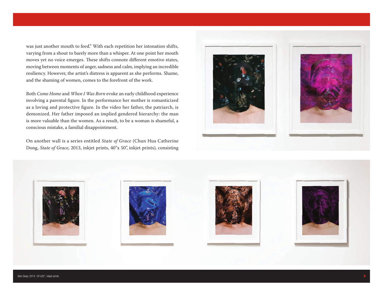was just another mouth to feed." With each repetition her intonation shifts, varying from a shout to barely more than a whisper. At one point her mouth moves yet no voice emerges. These shifts connote different emotive states, moving between moments of anger, sadness and calm, implying an incredible resiliency. However, the artist's distress is apparent as she performs. Shame, and the shaming of women, comes to the forefront of the work.

Both *Come Home* and *When I Was Born* evoke an early childhood experience involving a parental figure. In the performance her mother is romanticized as a loving and protective figure. In the video her father, the patriarch, is demonized. Her father imposed an implied gendered hierarchy: the man is more valuable than the women. As a result, to be a woman is shameful, a conscious mistake, a familial disappointment.

On another wall is a series entitled *State of Grace* (Chun Hua Catherine Dong, *State of Grace*, 2013, inkjet prints, 40''x 50'', inkjet prints)*,* consisting



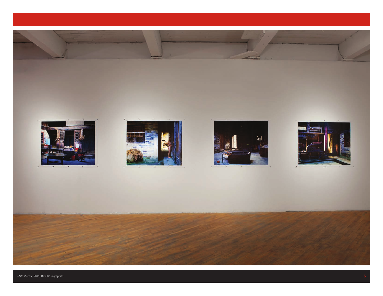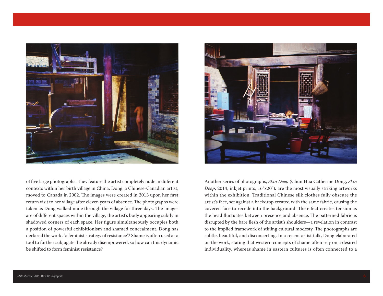

of five large photographs. They feature the artist completely nude in different contexts within her birth village in China. Dong, a Chinese-Canadian artist, moved to Canada in 2002. The images were created in 2013 upon her first return visit to her village after eleven years of absence. The photographs were taken as Dong walked nude through the village for three days. The images are of different spaces within the village, the artist's body appearing subtly in shadowed corners of each space. Her figure simultaneously occupies both a position of powerful exhibitionism and shamed concealment. Dong has declared the work, "a feminist strategy of resistance".1 Shame is often used as a tool to further subjugate the already disempowered, so how can this dynamic be shifted to form feminist resistance?



Another series of photographs, *Skin Deep* (Chun Hua Catherine Dong, *Skin Deep*, 2014, inkjet prints, 16"x20")*,* are the most visually striking artworks within the exhibition. Traditional Chinese silk clothes fully obscure the artist's face, set against a backdrop created with the same fabric, causing the covered face to recede into the background. The effect creates tension as the head fluctuates between presence and absence. The patterned fabric is disrupted by the bare flesh of the artist's shoulders—a revelation in contrast to the implied framework of stifling cultural modesty. The photographs are subtle, beautiful, and disconcerting. In a recent artist talk, Dong elaborated on the work, stating that western concepts of shame often rely on a desired individuality, whereas shame in eastern cultures is often connected to a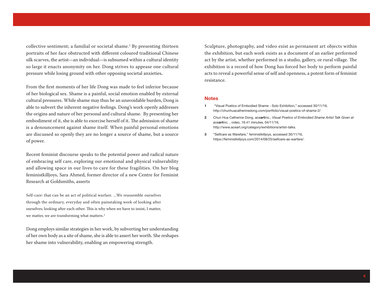collective sentiment; a familial or societal shame.2 By presenting thirteen portraits of her face obstructed with different coloured traditional Chinese silk scarves, the artist—an individual—is subsumed within a cultural identity so large it enacts anonymity on her. Dong strives to appease one cultural pressure while losing ground with other opposing societal anxieties**.** 

From the first moments of her life Dong was made to feel inferior because of her biological sex. Shame is a painful, social emotion enabled by external cultural pressures. While shame may thus be an unavoidable burden, Dong is able to subvert the inherent negative feelings. Dong's work openly addresses the origins and nature of her personal and cultural shame. By presenting her embodiment of it, she is able to exorcise herself of it. The admission of shame is a denouncement against shame itself. When painful personal emotions are discussed so openly they are no longer a source of shame, but a source of power.

Recent feminist discourse speaks to the potential power and radical nature of embracing self care, exploring our emotional and physical vulnerability and allowing space in our lives to care for these fragilities. On her blog feministkilljoys, Sara Ahmed, former director of a new Centre for Feminist Research at Goldsmiths, asserts

Self-care: that can be an act of political warfare. ...We reassemble ourselves through the ordinary, everyday and often painstaking work of looking after ourselves; looking after each other. This is why when we have to insist, I matter, we matter, we are transforming what matters.<sup>3</sup>

Dong employs similar strategies in her work, by subverting her understanding of her own body as a site of shame, she is able to assert her worth. She reshapes her shame into vulnerability, enabling an empowering strength.

Sculpture, photography, and video exist as permanent art objects within the exhibition, but each work exists as a document of an earlier performed act by the artist, whether performed in a studio, gallery, or rural village. The exhibition is a record of how Dong has forced her body to perform painful acts to reveal a powerful sense of self and openness, a potent form of feminist resistance.

#### **Notes**

- **1** "Visual Poetics of Embodied Shame Solo Exhibition," accessed 30/11/16, http://chunhuacatherinedong.com/portfolio/visual-poetics-of-shame-2/
- **2** Chun Hua Catherine Dong, ace**art**inc., *Visual Poetics of Embodied Shame Artist Talk Given at aceartinc.* , video, 16.41 minutes, 04/11/16, http://www.aceart.org/category/exhibitions/artist-talks.
- **3** "Selfcare as Warefare," feministkilljoys, accessed 30/11/16, https://feministkilljoys.com/2014/08/25/selfcare-as-warfare/.